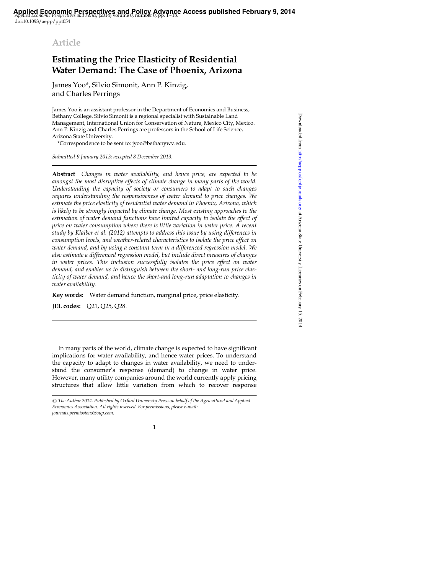# Article

# Estimating the Price Elasticity of Residential Water Demand: The Case of Phoenix, Arizona

James Yoo\* , Silvio Simonit, Ann P. Kinzig, and Charles Perrings

James Yoo is an assistant professor in the Department of Economics and Business, Bethany College. Silvio Simonit is a regional specialist with Sustainable Land Management, International Union for Conservation of Nature, Mexico City, Mexico. Ann P. Kinzig and Charles Perrings are professors in the School of Life Science, Arizona State University.

\*Correspondence to be sent to: jyoo@bethanywv.edu.

Submitted 9 January 2013; accepted 8 December 2013.

Abstract Changes in water availability, and hence price, are expected to be amongst the most disruptive effects of climate change in many parts of the world. Understanding the capacity of society or consumers to adapt to such changes requires understanding the responsiveness of water demand to price changes. We estimate the price elasticity of residential water demand in Phoenix, Arizona, which is likely to be strongly impacted by climate change. Most existing approaches to the estimation of water demand functions have limited capacity to isolate the effect of price on water consumption where there is little variation in water price. A recent study by Klaiber et al. (2012) attempts to address this issue by using differences in consumption levels, and weather-related characteristics to isolate the price effect on water demand, and by using a constant term in a differenced regression model. We also estimate a differenced regression model, but include direct measures of changes in water prices. This inclusion successfully isolates the price effect on water demand, and enables us to distinguish between the short- and long-run price elasticity of water demand, and hence the short-and long-run adaptation to changes in water availability.

Key words: Water demand function, marginal price, price elasticity.

JEL codes: Q21, Q25, Q28.

In many parts of the world, climate change is expected to have significant implications for water availability, and hence water prices. To understand the capacity to adapt to changes in water availability, we need to understand the consumer's response (demand) to change in water price. However, many utility companies around the world currently apply pricing structures that allow little variation from which to recover response

 $\odot$  The Author 2014. Published by Oxford University Press on behalf of the Agricultural and Applied Economics Association. All rights reserved. For permissions, please e-mail: journals.permissions@oup.com.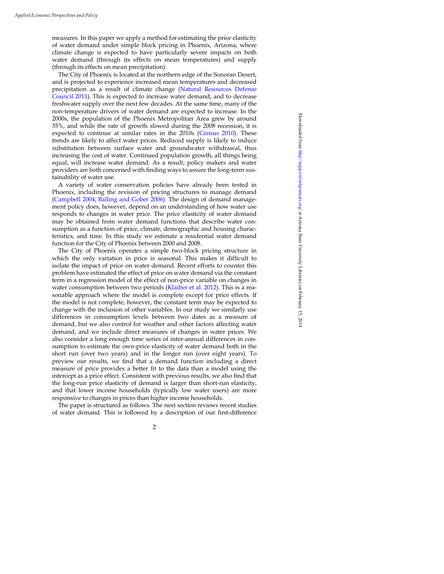measures. In this paper we apply a method for estimating the price elasticity of water demand under simple block pricing in Phoenix, Arizona, where climate change is expected to have particularly severe impacts on both water demand (through its effects on mean temperatures) and supply (through its effects on mean precipitation).

The City of Phoenix is located at the northern edge of the Sonoran Desert, and is projected to experience increased mean temperatures and decreased precipitation as a result of climate change (Natural Resources Defense Council 2011). This is expected to increase water demand, and to decrease freshwater supply over the next few decades. At the same time, many of the non-temperature drivers of water demand are expected to increase. In the 2000s, the population of the Phoenix Metropolitan Area grew by around 35%, and while the rate of growth slowed during the 2008 recession, it is expected to continue at similar rates in the 2010s (Census 2010). These trends are likely to affect water prices. Reduced supply is likely to induce substitution between surface water and groundwater withdrawal, thus increasing the cost of water. Continued population growth, all things being equal, will increase water demand. As a result, policy makers and water providers are both concerned with finding ways to assure the long-term sustainability of water use.

A variety of water conservation policies have already been tested in Phoenix, including the revision of pricing structures to manage demand (Campbell 2004; Balling and Gober 2006). The design of demand management policy does, however, depend on an understanding of how water use responds to changes in water price. The price elasticity of water demand may be obtained from water demand functions that describe water consumption as a function of price, climate, demographic and housing characteristics, and time. In this study we estimate a residential water demand function for the City of Phoenix between 2000 and 2008.

The City of Phoenix operates a simple two-block pricing structure in which the only variation in price is seasonal. This makes it difficult to isolate the impact of price on water demand. Recent efforts to counter this problem have estimated the effect of price on water demand via the constant term in a regression model of the effect of non-price variable on changes in water consumption between two periods (Klaiber et al. 2012). This is a reasonable approach where the model is complete except for price effects. If the model is not complete, however, the constant term may be expected to change with the inclusion of other variables. In our study we similarly use differences in consumption levels between two dates as a measure of demand, but we also control for weather and other factors affecting water demand, and we include direct measures of changes in water prices. We also consider a long enough time series of inter-annual differences in consumption to estimate the own-price elasticity of water demand both in the short run (over two years) and in the longer run (over eight years). To preview our results, we find that a demand function including a direct measure of price provides a better fit to the data than a model using the intercept as a price effect. Consistent with previous results, we also find that the long-run price elasticity of demand is larger than short-run elasticity, and that lower income households (typically low water users) are more responsive to changes in prices than higher income households.

The paper is structured as follows. The next section reviews recent studies of water demand. This is followed by a description of our first-difference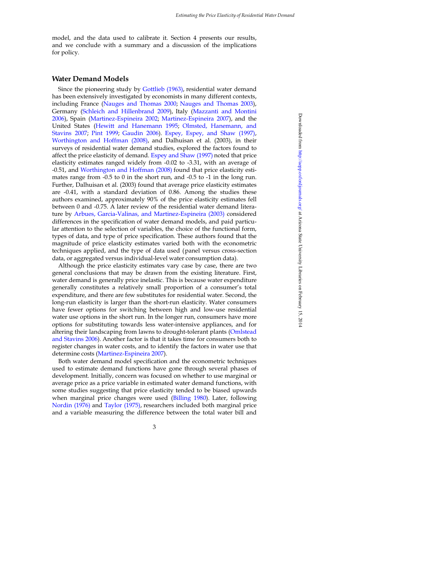model, and the data used to calibrate it. Section 4 presents our results, and we conclude with a summary and a discussion of the implications for policy.

## Water Demand Models

Since the pioneering study by Gottlieb (1963), residential water demand has been extensively investigated by economists in many different contexts, including France (Nauges and Thomas 2000; Nauges and Thomas 2003), Germany (Schleich and Hillenbrand 2009), Italy (Mazzanti and Montini 2006), Spain (Martinez-Espineira 2002; Martinez-Espineira 2007), and the United States (Hewitt and Hanemann 1995; Olmsted, Hanemann, and Stavins 2007; Pint 1999; Gaudin 2006). Espey, Espey, and Shaw (1997), Worthington and Hoffman (2008), and Dalhuisan et al. (2003), in their surveys of residential water demand studies, explored the factors found to affect the price elasticity of demand. Espey and Shaw (1997) noted that price elasticity estimates ranged widely from -0.02 to -3.31, with an average of -0.51, and Worthington and Hoffman (2008) found that price elasticity estimates range from -0.5 to 0 in the short run, and -0.5 to -1 in the long run. Further, Dalhuisan et al. (2003) found that average price elasticity estimates are -0.41, with a standard deviation of 0.86. Among the studies these authors examined, approximately 90% of the price elasticity estimates fell between 0 and -0.75. A later review of the residential water demand literature by Arbues, Garcia-Valinas, and Martinez-Espineira (2003) considered differences in the specification of water demand models, and paid particular attention to the selection of variables, the choice of the functional form, types of data, and type of price specification. These authors found that the magnitude of price elasticity estimates varied both with the econometric techniques applied, and the type of data used (panel versus cross-section data, or aggregated versus individual-level water consumption data).

Although the price elasticity estimates vary case by case, there are two general conclusions that may be drawn from the existing literature. First, water demand is generally price inelastic. This is because water expenditure generally constitutes a relatively small proportion of a consumer's total expenditure, and there are few substitutes for residential water. Second, the long-run elasticity is larger than the short-run elasticity. Water consumers have fewer options for switching between high and low-use residential water use options in the short run. In the longer run, consumers have more options for substituting towards less water-intensive appliances, and for altering their landscaping from lawns to drought-tolerant plants (Omlstead and Stavins 2006). Another factor is that it takes time for consumers both to register changes in water costs, and to identify the factors in water use that determine costs (Martinez-Espineira 2007).

Both water demand model specification and the econometric techniques used to estimate demand functions have gone through several phases of development. Initially, concern was focused on whether to use marginal or average price as a price variable in estimated water demand functions, with some studies suggesting that price elasticity tended to be biased upwards when marginal price changes were used (Billing 1980). Later, following Nordin (1976) and Taylor (1975), researchers included both marginal price and a variable measuring the difference between the total water bill and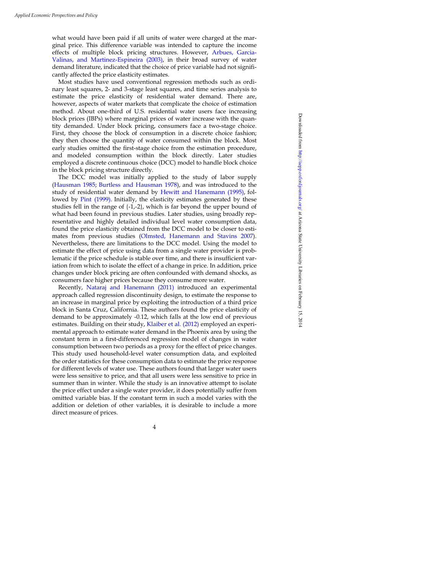what would have been paid if all units of water were charged at the marginal price. This difference variable was intended to capture the income effects of multiple block pricing structures. However, Arbues, Garcia-Valinas, and Martinez-Espineira (2003), in their broad survey of water demand literature, indicated that the choice of price variable had not significantly affected the price elasticity estimates.

Most studies have used conventional regression methods such as ordinary least squares, 2- and 3-stage least squares, and time series analysis to estimate the price elasticity of residential water demand. There are, however, aspects of water markets that complicate the choice of estimation method. About one-third of U.S. residential water users face increasing block prices (IBPs) where marginal prices of water increase with the quantity demanded. Under block pricing, consumers face a two-stage choice. First, they choose the block of consumption in a discrete choice fashion; they then choose the quantity of water consumed within the block. Most early studies omitted the first-stage choice from the estimation procedure, and modeled consumption within the block directly. Later studies employed a discrete continuous choice (DCC) model to handle block choice in the block pricing structure directly.

The DCC model was initially applied to the study of labor supply (Hausman 1985; Burtless and Hausman 1978), and was introduced to the study of residential water demand by Hewitt and Hanemann (1995), followed by Pint (1999). Initially, the elasticity estimates generated by these studies fell in the range of {-1,-2}, which is far beyond the upper bound of what had been found in previous studies. Later studies, using broadly representative and highly detailed individual level water consumption data, found the price elasticity obtained from the DCC model to be closer to estimates from previous studies (Olmsted, Hanemann and Stavins 2007). Nevertheless, there are limitations to the DCC model. Using the model to estimate the effect of price using data from a single water provider is problematic if the price schedule is stable over time, and there is insufficient variation from which to isolate the effect of a change in price. In addition, price changes under block pricing are often confounded with demand shocks, as consumers face higher prices because they consume more water.

Recently, Nataraj and Hanemann (2011) introduced an experimental approach called regression discontinuity design, to estimate the response to an increase in marginal price by exploiting the introduction of a third price block in Santa Cruz, California. These authors found the price elasticity of demand to be approximately -0.12, which falls at the low end of previous estimates. Building on their study, Klaiber et al. (2012) employed an experimental approach to estimate water demand in the Phoenix area by using the constant term in a first-differenced regression model of changes in water consumption between two periods as a proxy for the effect of price changes. This study used household-level water consumption data, and exploited the order statistics for these consumption data to estimate the price response for different levels of water use. These authors found that larger water users were less sensitive to price, and that all users were less sensitive to price in summer than in winter. While the study is an innovative attempt to isolate the price effect under a single water provider, it does potentially suffer from omitted variable bias. If the constant term in such a model varies with the addition or deletion of other variables, it is desirable to include a more direct measure of prices.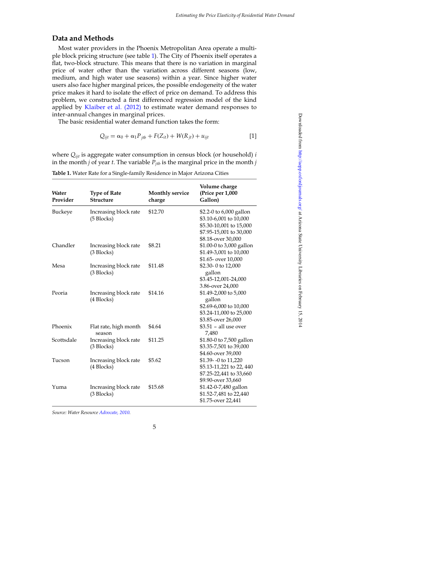## Data and Methods

Most water providers in the Phoenix Metropolitan Area operate a multiple block pricing structure (see table 1). The City of Phoenix itself operates a flat, two-block structure. This means that there is no variation in marginal price of water other than the variation across different seasons (low, medium, and high water use seasons) within a year. Since higher water users also face higher marginal prices, the possible endogeneity of the water price makes it hard to isolate the effect of price on demand. To address this problem, we constructed a first differenced regression model of the kind applied by Klaiber et al. (2012) to estimate water demand responses to inter-annual changes in marginal prices.

The basic residential water demand function takes the form:

$$
Q_{ijt} = \alpha_0 + \alpha_1 P_{jtb} + F(Z_{it}) + W(R_{jt}) + u_{ijt}
$$
\n<sup>(1)</sup>

where  $Q_{ijt}$  is aggregate water consumption in census block (or household) *i* in the month *j* of year *t*. The variable  $P_{jtb}$  is the marginal price in the month *j* 

Table 1. Water Rate for a Single-family Residence in Major Arizona Cities

| Water<br>Provider | <b>Type of Rate</b><br><b>Structure</b> | <b>Monthly service</b><br>charge | Volume charge<br>(Price per 1,000<br>Gallon)                                                                                  |
|-------------------|-----------------------------------------|----------------------------------|-------------------------------------------------------------------------------------------------------------------------------|
| <b>Buckeye</b>    | Increasing block rate<br>(5 Blocks)     | \$12.70                          | \$2.2-0 to 6,000 gallon<br>\$3.10-6,001 to 10,000<br>\$5.30-10,001 to 15,000<br>\$7.95-15,001 to 30,000<br>\$8.18-over 30,000 |
| Chandler          | Increasing block rate<br>(3 Blocks)     | \$8.21                           | \$1.00-0 to 3,000 gallon<br>\$1.49-3,001 to 10,000<br>\$1.65- over 10,000                                                     |
| Mesa              | Increasing block rate<br>(3 Blocks)     | \$11.48                          | \$2.30-0 to 12,000<br>gallon<br>\$3.45-12,001-24,000<br>3.86-over 24,000                                                      |
| Peoria            | Increasing block rate<br>(4 Blocks)     | \$14.16                          | \$1.49-2,000 to 5,000<br>gallon<br>\$2.69-6,000 to 10,000<br>\$3.24-11,000 to 25,000<br>\$3.85-over 26,000                    |
| Phoenix           | Flat rate, high month<br>season         | \$4.64                           | $$3.51 - all$ use over<br>7,480                                                                                               |
| Scottsdale        | Increasing block rate<br>(3 Blocks)     | \$11.25                          | \$1.80-0 to 7,500 gallon<br>\$3.35-7,501 to 39,000<br>\$4.60-over 39,000                                                      |
| Tucson            | Increasing block rate<br>(4 Blocks)     | \$5.62                           | \$1.39- -0 to 11,220<br>\$5.13-11,221 to 22, 440<br>\$7.25-22,441 to 33,660<br>\$9.90-over 33,660                             |
| Yuma              | Increasing block rate<br>(3 Blocks)     | \$15.68                          | \$1.42-0-7,480 gallon<br>\$1.52-7,481 to 22,440<br>\$1.75-over 22,441                                                         |

Source: Water Resource Advocate, 2010.

5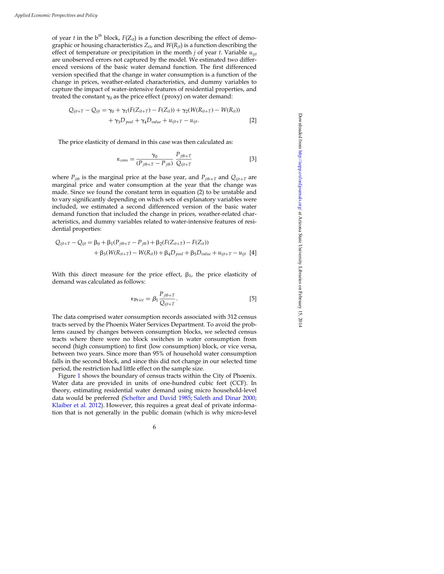of year t in the  $b^{th}$  block,  $F(Z_{it})$  is a function describing the effect of demographic or housing characteristics  $Z_{it}$ , and  $W(R_{it})$  is a function describing the effect of temperature or precipitation in the month  $j$  of year  $t$ . Variable  $u_{ijt}$ are unobserved errors not captured by the model. We estimated two differenced versions of the basic water demand function. The first differenced version specified that the change in water consumption is a function of the change in prices, weather-related characteristics, and dummy variables to capture the impact of water-intensive features of residential properties, and treated the constant  $\gamma_0$  as the price effect (proxy) on water demand:

$$
Q_{ijt+T} - Q_{ijt} = \gamma_0 + \gamma_1 (F(Z_{it+T}) - F(Z_{it})) + \gamma_2 (W(R_{it+T}) - W(R_{it})) + \gamma_3 D_{pool} + \gamma_4 D_{value} + u_{ijt+T} - u_{ijt}.
$$
 [2]

The price elasticity of demand in this case was then calculated as:

$$
\varepsilon_{cons} = \frac{\gamma_0}{(P_{jtb+T} - P_{jtb})} \frac{P_{jtb+T}}{Q_{ijt+T}}
$$
 [3]

where  $P_{itb}$  is the marginal price at the base year, and  $P_{itb+T}$  and  $Q_{it+T}$  are marginal price and water consumption at the year that the change was made. Since we found the constant term in equation (2) to be unstable and to vary significantly depending on which sets of explanatory variables were included, we estimated a second differenced version of the basic water demand function that included the change in prices, weather-related characteristics, and dummy variables related to water-intensive features of residential properties:

$$
Q_{ijt+T} - Q_{ijt} = \beta_0 + \beta_1 (P_{jtb+T} - P_{jtb}) + \beta_2 (F(Z_{it+T}) - F(Z_{it}))
$$
  
+  $\beta_3 (W(R_{it+T}) - W(R_{it})) + \beta_4 D_{pool} + \beta_5 D_{value} + u_{ijt+T} - u_{ijt}$  [4]

With this direct measure for the price effect,  $\beta_1$ , the price elasticity of demand was calculated as follows:

$$
\varepsilon_{\text{Pr}ice} = \beta_1 \frac{P_{jtb+T}}{Q_{ijt+T}}.
$$

at A riz o n a State U niv e r sity

http://aepp.oxfordjournals.or

Downloaded from http://aepp.oxfordjournals.org/

ownloaded from

Libraries on February 15, 2014

The data comprised water consumption records associated with 312 census tracts served by the Phoenix Water Services Department. To avoid the problems caused by changes between consumption blocks, we selected census tracts where there were no block switches in water consumption from second (high consumption) to first (low consumption) block, or vice versa, between two years. Since more than 95% of household water consumption falls in the second block, and since this did not change in our selected time period, the restriction had little effect on the sample size.

Figure 1 shows the boundary of census tracts within the City of Phoenix. Water data are provided in units of one-hundred cubic feet (CCF). In theory, estimating residential water demand using micro household-level data would be preferred (Schefter and David 1985; Saleth and Dinar 2000; Klaiber et al. 2012). However, this requires a great deal of private information that is not generally in the public domain (which is why micro-level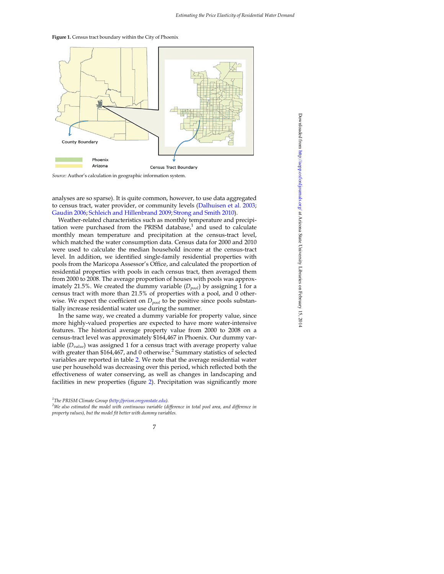at A riz o n a State U niv e r sity

http://aepp.oxfordjournals.or

Downloaded from http://aepp.oxfordjournals.org/

ownloaded from

Libraries on February 15, 2014

Figure 1. Census tract boundary within the City of Phoenix



Source: Author's calculation in geographic information system.

analyses are so sparse). It is quite common, however, to use data aggregated to census tract, water provider, or community levels (Dalhuisen et al. 2003; Gaudin 2006; Schleich and Hillenbrand 2009; Strong and Smith 2010).

Weather-related characteristics such as monthly temperature and precipitation were purchased from the PRISM database,<sup>1</sup> and used to calculate monthly mean temperature and precipitation at the census-tract level, which matched the water consumption data. Census data for 2000 and 2010 were used to calculate the median household income at the census-tract level. In addition, we identified single-family residential properties with pools from the Maricopa Assessor's Office, and calculated the proportion of residential properties with pools in each census tract, then averaged them from 2000 to 2008. The average proportion of houses with pools was approximately 21.5%. We created the dummy variable  $(D_{pool})$  by assigning 1 for a census tract with more than 21.5% of properties with a pool, and 0 otherwise. We expect the coefficient on  $D_{pool}$  to be positive since pools substantially increase residential water use during the summer.

In the same way, we created a dummy variable for property value, since more highly-valued properties are expected to have more water-intensive features. The historical average property value from 2000 to 2008 on a census-tract level was approximately \$164,467 in Phoenix. Our dummy variable ( $D_{value}$ ) was assigned 1 for a census tract with average property value with greater than \$164,467, and 0 otherwise. <sup>2</sup> Summary statistics of selected variables are reported in table 2. We note that the average residential water use per household was decreasing over this period, which reflected both the effectiveness of water conserving, as well as changes in landscaping and facilities in new properties (figure 2). Precipitation was significantly more

<sup>1</sup>The PRISM Climate Group (http://prism.oregonstate.edu).<br><sup>2</sup>We also estimated the model with continuous variable (d

 $2$ We also estimated the model with continuous variable (difference in total pool area, and difference in property values), but the model fit better with dummy variables.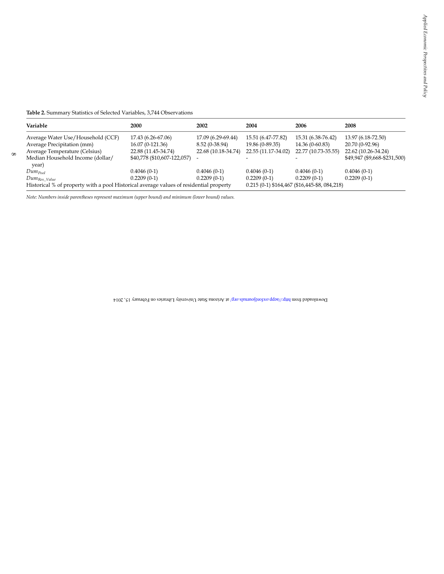Table 2. Summary Statistics of Selected Variables, 3,744 Observations

 $\infty$ 

| Variable                                                                                                     | 2000                                                          | 2002                                                         | 2004                                                         | 2006                                                            | 2008                                                         |
|--------------------------------------------------------------------------------------------------------------|---------------------------------------------------------------|--------------------------------------------------------------|--------------------------------------------------------------|-----------------------------------------------------------------|--------------------------------------------------------------|
| Average Water Use/Household (CCF)<br>Average Precipitation (mm)<br>Average Temperature (Celsius)             | 17.43 (6.26-67.06)<br>16.07 (0-121.36)<br>22.88 (11.45-34.74) | 17.09 (6.29-69.44)<br>$8.52(0-38.94)$<br>22.68 (10.18-34.74) | 15.51 (6.47-77.82)<br>19.86 (0-89.35)<br>22.55 (11.17-34.02) | 15.31 (6.38-76.42)<br>14.36 (0-60.83)<br>22.77 (10.73-35.55)    | 13.97 (6.18-72.50)<br>20.70 (0-92.96)<br>22.62 (10.26-34.24) |
| Median Household Income (dollar/<br>year)                                                                    | \$40,778 (\$10,607-122,057)                                   |                                                              |                                                              |                                                                 | \$49,947 (\$9,668-\$231,500)                                 |
| $Dum_{Pool}$                                                                                                 | $0.4046(0-1)$                                                 | $0.4046(0-1)$                                                | $0.4046(0-1)$                                                | $0.4046(0-1)$                                                   | $0.4046(0-1)$                                                |
| $Dum_{Res\ Value}$<br>Historical % of property with a pool Historical average values of residential property | $0.2209(0-1)$                                                 | $0.2209(0-1)$                                                | $0.2209(0-1)$                                                | $0.2209(0-1)$<br>$0.215(0-1)$ \$164,467 (\$16,445-\$8, 084,218) | $0.2209(0-1)$                                                |

Note: Numbers inside parentheses represent maximum (upper bound) and minimum (lower bound) values.

 $4102$ ,  $21$  yraurd  $64$  m seirardi. I visrevial on  $8$  and  $\mu$  as  $\sqrt{9}$  and  $\mu$   $\sqrt{9}$  and  $\mu$  and  $\mu$  and  $\mu$  and  $\mu$  and  $\mu$  and  $\mu$  and  $\mu$  and  $\mu$  and  $\mu$  and  $\mu$  and  $\mu$  and  $\mu$  and  $\mu$  and  $\mu$  an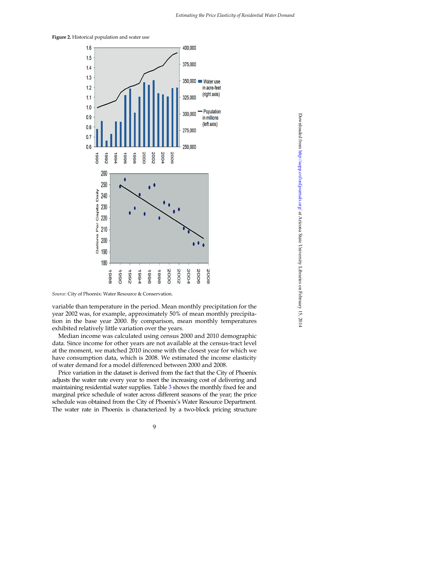

#### Figure 2. Historical population and water use

Source: City of Phoenix: Water Resource & Conservation.

variable than temperature in the period. Mean monthly precipitation for the year 2002 was, for example, approximately 50% of mean monthly precipitation in the base year 2000. By comparison, mean monthly temperatures exhibited relatively little variation over the years.

Median income was calculated using census 2000 and 2010 demographic data. Since income for other years are not available at the census-tract level at the moment, we matched 2010 income with the closest year for which we have consumption data, which is 2008. We estimated the income elasticity of water demand for a model differenced between 2000 and 2008.

Price variation in the dataset is derived from the fact that the City of Phoenix adjusts the water rate every year to meet the increasing cost of delivering and maintaining residential water supplies. Table 3 shows the monthly fixed fee and marginal price schedule of water across different seasons of the year; the price schedule was obtained from the City of Phoenix 's Water Resource Department. The water rate in Phoenix is characterized by a two-block pricing structure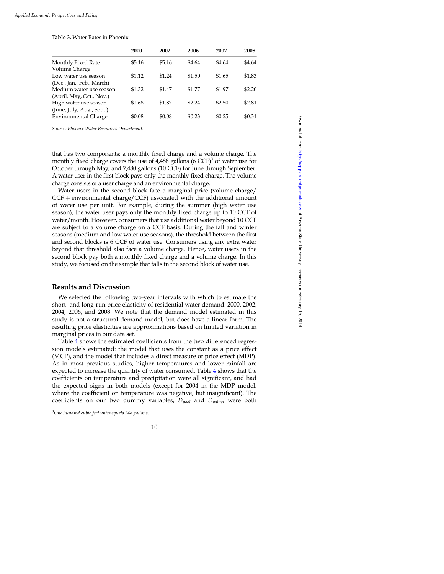#### Table 3. Water Rates in Phoenix

|                           | 2000   | 2002   | 2006   | 2007   | 2008   |
|---------------------------|--------|--------|--------|--------|--------|
| Monthly Fixed Rate        | \$5.16 | \$5.16 | \$4.64 | \$4.64 | \$4.64 |
| Volume Charge             |        |        |        |        |        |
| Low water use season      | \$1.12 | \$1.24 | \$1.50 | \$1.65 | \$1.83 |
| (Dec., Jan., Feb., March) |        |        |        |        |        |
| Medium water use season   | \$1.32 | \$1.47 | \$1.77 | \$1.97 | \$2.20 |
| (April, May, Oct., Nov.)  |        |        |        |        |        |
| High water use season     | \$1.68 | \$1.87 | \$2.24 | \$2.50 | \$2.81 |
| (June, July, Aug., Sept.) |        |        |        |        |        |
| Environmental Charge      | \$0.08 | \$0.08 | \$0.23 | \$0.25 | \$0.31 |

Source: Phoenix Water Resources Department.

that has two components: a monthly fixed charge and a volume charge. The monthly fixed charge covers the use of 4,488 gallons (6 CCF)<sup>3</sup> of water use for October through May, and 7,480 gallons (10 CCF) for June through September. A water user in the first block pays only the monthly fixed charge. The volume charge consists of a user charge and an environmental charge.

Water users in the second block face a marginal price (volume charge/ CCF + environmental charge/CCF) associated with the additional amount of water use per unit. For example, during the summer (high water use season), the water user pays only the monthly fixed charge up to 10 CCF of water/month. However, consumers that use additional water beyond 10 CCF are subject to a volume charge on a CCF basis. During the fall and winter seasons (medium and low water use seasons), the threshold between the first and second blocks is 6 CCF of water use. Consumers using any extra water beyond that threshold also face a volume charge. Hence, water users in the second block pay both a monthly fixed charge and a volume charge. In this study, we focused on the sample that falls in the second block of water use.

# Results and Discussion

We selected the following two-year intervals with which to estimate the short- and long-run price elasticity of residential water demand: 2000, 2002, 2004, 2006, and 2008. We note that the demand model estimated in this study is not a structural demand model, but does have a linear form. The resulting price elasticities are approximations based on limited variation in marginal prices in our data set.

Table 4 shows the estimated coefficients from the two differenced regression models estimated: the model that uses the constant as a price effect (MCP), and the model that includes a direct measure of price effect (MDP). As in most previous studies, higher temperatures and lower rainfall are expected to increase the quantity of water consumed. Table 4 shows that the coefficients on temperature and precipitation were all significant, and had the expected signs in both models (except for 2004 in the MDP model, where the coefficient on temperature was negative, but insignificant). The coefficients on our two dummy variables,  $D_{pool}$  and  $D_{value}$ , were both

<sup>3</sup>One hundred cubic feet units equals 748 gallons.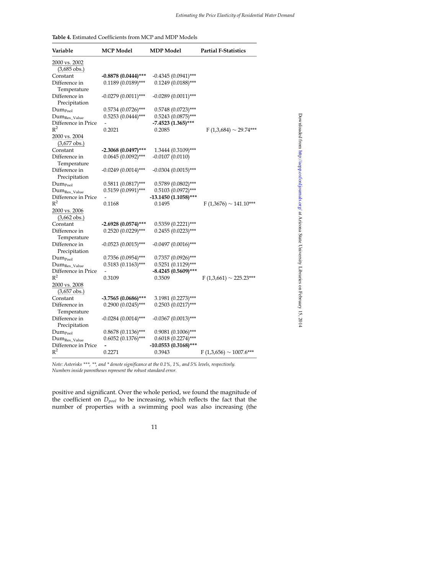at A riz o n a State U niv e r sity

http://aepp.oxfordjournals.or

Downloaded from http://aepp.oxfordjournals.org/

ownloaded from

Libraries on February 15, 2014

| <b>Table 4.</b> Estimated Coefficients from MCP and MDP Models |
|----------------------------------------------------------------|
|----------------------------------------------------------------|

| Variable                             | <b>MCP Model</b>         | <b>MDP</b> Model        | <b>Partial F-Statistics</b> |
|--------------------------------------|--------------------------|-------------------------|-----------------------------|
| 2000 vs. 2002                        |                          |                         |                             |
| $(3,685 \text{ obs.})$               |                          |                         |                             |
| Constant                             | $-0.8878(0.0444)$ ***    | $-0.4345(0.0941)$ ***   |                             |
| Difference in                        | $0.1189(0.0189)$ ***     | $0.1249(0.0188)$ ***    |                             |
| Temperature                          |                          |                         |                             |
| Difference in                        | $-0.0279(0.0011)$ ***    | $-0.0289(0.0011)$ ***   |                             |
| Precipitation                        |                          |                         |                             |
| $Dum_{Pool}$                         | $0.5734(0.0726)$ ***     | $0.5748(0.0723)$ ***    |                             |
| $\mathrm{Dum}_{\mathrm{Res\_Value}}$ | $0.5253(0.0444)***$      | $0.5243$ $(0.0875)$ *** |                             |
| Difference in Price                  |                          | -7.4523 (1.365)***      |                             |
| $R^2$                                | 0.2021                   | 0.2085                  | $F(1,3,684) \sim 29.74***$  |
| 2000 vs. 2004                        |                          |                         |                             |
| $(3,677 \text{ obs.})$               |                          |                         |                             |
| Constant                             |                          |                         |                             |
| Difference in                        | -2.3068 (0.0497)***      | $1.3444(0.3109)$ ***    |                             |
|                                      | $0.0645(0.0092)$ ***     | $-0.0107(0.0110)$       |                             |
| Temperature                          |                          |                         |                             |
| Difference in                        | $-0.0249(0.0014)$ ***    | $-0.0304(0.0015)$ ***   |                             |
| Precipitation                        |                          |                         |                             |
| $Dum_{Pool}$                         | $0.5811(0.0817***$       | $0.5789(0.0802)$ ***    |                             |
| $Dum_{Res\_Value}$                   | $0.5159(0.0991)$ ***     | $0.5103(0.0972)$ ***    |                             |
| Difference in Price                  | $\overline{\phantom{m}}$ | $-13.1450(1.1058)$ ***  |                             |
| $R^2$                                | 0.1168                   | 0.1495                  | $F(1,3676) \sim 141.10***$  |
| 2000 vs. 2006                        |                          |                         |                             |
| $(3,662 \text{ obs.})$               |                          |                         |                             |
| Constant                             | $-2.6928(0.0574)$ ***    | $0.5359(0.2221)$ ***    |                             |
| Difference in                        | $0.2520(0.0229)$ ***     | $0.2455(0.0223)$ ***    |                             |
| Temperature                          |                          |                         |                             |
| Difference in                        | $-0.0523(0.0015)$ ***    | $-0.0497(0.0016)$ ***   |                             |
| Precipitation                        |                          |                         |                             |
| $Dum_{Pool}$                         | $0.7356(0.0954)$ ***     | $0.7357(0.0926)$ ***    |                             |
| $Dum_{Res\_Value}$                   | $0.5183(0.1163)$ ***     | $0.5251(0.1129)***$     |                             |
| Difference in Price                  | $\overline{\phantom{a}}$ | -8.4245 (0.5609)***     |                             |
| $R^2$                                | 0.3109                   | 0.3509                  | $F(1,3,661) \sim 225.23***$ |
| 2000 vs. 2008                        |                          |                         |                             |
| $(3,657 \text{ obs.})$               |                          |                         |                             |
| Constant                             | $-3.7565(0.0686)$ ***    | 3.1981 (0.2273)***      |                             |
| Difference in                        | $0.2900(0.0245)$ ***     | $0.2503(0.0217)$ ***    |                             |
|                                      |                          |                         |                             |
| Temperature                          |                          |                         |                             |
| Difference in                        | $-0.0284(0.0014)$ ***    | $-0.0367(0.0013)$ ***   |                             |
| Precipitation                        |                          |                         |                             |
| $Dum_{Pool}$                         | $0.8678(0.1136)$ ***     | $0.9081(0.1006)$ ***    |                             |
| $\mathrm{Dum}_{\mathrm{Res\_Value}}$ | $0.6052(0.1376)$ ***     | $0.6018(0.2274***$      |                             |
| Difference in Price                  | $\overline{\phantom{0}}$ | $-10.0553(0.3168)$ ***  |                             |
| $R^2$                                | 0.2271                   | 0.3943                  | $F(1,3,656) \sim 1007.6***$ |

Note: Asterisks \*\*\*, \*\*, and \* denote significance at the 0.1%, 1%, and 5% levels, respectively. Numbers inside parentheses represent the robust standard error.

positive and significant. Over the whole period, we found the magnitude of the coefficient on  $D_{pool}$  to be increasing, which reflects the fact that the number of properties with a swimming pool was also increasing (the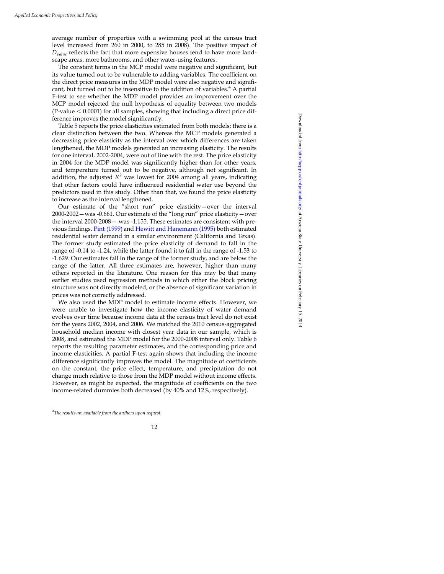average number of properties with a swimming pool at the census tract level increased from 260 in 2000, to 285 in 2008). The positive impact of  $D_{value}$  reflects the fact that more expensive houses tend to have more landscape areas, more bathrooms, and other water-using features.

The constant terms in the MCP model were negative and significant, but its value turned out to be vulnerable to adding variables. The coefficient on the direct price measures in the MDP model were also negative and significant, but turned out to be insensitive to the addition of variables.<sup>4</sup> A partial F-test to see whether the MDP model provides an improvement over the MCP model rejected the null hypothesis of equality between two models  $(P-value < 0.0001)$  for all samples, showing that including a direct price difference improves the model significantly.

Table 5 reports the price elasticities estimated from both models; there is a clear distinction between the two. Whereas the MCP models generated a decreasing price elasticity as the interval over which differences are taken lengthened, the MDP models generated an increasing elasticity. The results for one interval, 2002-2004, were out of line with the rest. The price elasticity in 2004 for the MDP model was significantly higher than for other years, and temperature turned out to be negative, although not significant. In addition, the adjusted  $R^2$  was lowest for 2004 among all years, indicating that other factors could have influenced residential water use beyond the predictors used in this study. Other than that, we found the price elasticity to increase as the interval lengthened.

Our estimate of the "short run" price elasticity—over the interval 2000-2002—was -0.661. Our estimate of the "long run" price elasticity—over the interval 2000-2008— was -1.155. These estimates are consistent with previous findings. Pint (1999) and Hewitt and Hanemann (1995) both estimated residential water demand in a similar environment (California and Texas). The former study estimated the price elasticity of demand to fall in the range of -0.14 to -1.24, while the latter found it to fall in the range of -1.53 to -1.629. Our estimates fall in the range of the former study, and are below the range of the latter. All three estimates are, however, higher than many others reported in the literature. One reason for this may be that many earlier studies used regression methods in which either the block pricing structure was not directly modeled, or the absence of significant variation in prices was not correctly addressed.

We also used the MDP model to estimate income effects. However, we were unable to investigate how the income elasticity of water demand evolves over time because income data at the census tract level do not exist for the years 2002, 2004, and 2006. We matched the 2010 census-aggregated household median income with closest year data in our sample, which is 2008, and estimated the MDP model for the 2000-2008 interval only. Table 6 reports the resulting parameter estimates, and the corresponding price and income elasticities. A partial F-test again shows that including the income difference significantly improves the model. The magnitude of coefficients on the constant, the price effect, temperature, and precipitation do not change much relative to those from the MDP model without income effects. However, as might be expected, the magnitude of coefficients on the two income-related dummies both decreased (by 40% and 12%, respectively).

 ${}^{4}$ The results are available from the authors upon request.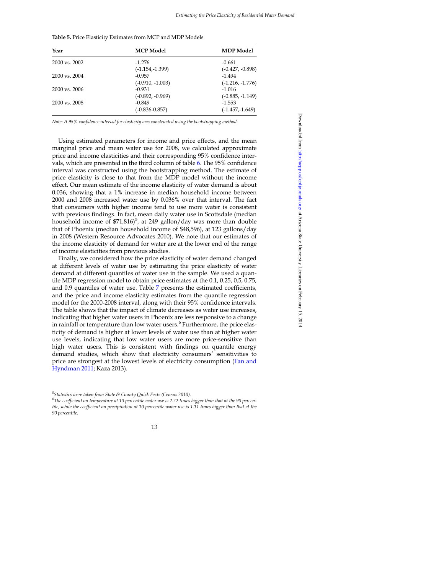Table 5. Price Elasticity Estimates from MCP and MDP Models

| Year                     | <b>MCP</b> Model   | <b>MDP</b> Model   |
|--------------------------|--------------------|--------------------|
| 2000 vs. 2002            | $-1.276$           | $-0.661$           |
|                          | $(-1.154,-1.399)$  | $(-0.427, -0.898)$ |
| $2000 \text{ vs. } 2004$ | $-0.957$           | $-1.494$           |
|                          | $(-0.910, -1.003)$ | $(-1.216, -1.776)$ |
| $2000 \text{ vs. } 2006$ | $-0.931$           | $-1.016$           |
|                          | $(-0.892, -0.969)$ | $(-0.885, -1.149)$ |
| $2000 \text{ vs. } 2008$ | $-0.849$           | $-1.553$           |
|                          | $(-0.836 - 0.857)$ | $(-1.457,-1.649)$  |

Note: A 95% confidence interval for elasticity was constructed using the bootstrapping method.

Using estimated parameters for income and price effects, and the mean marginal price and mean water use for 2008, we calculated approximate price and income elasticities and their corresponding 95% confidence intervals, which are presented in the third column of table 6. The 95% confidence interval was constructed using the bootstrapping method. The estimate of price elasticity is close to that from the MDP model without the income effect. Our mean estimate of the income elasticity of water demand is about 0.036, showing that a 1% increase in median household income between 2000 and 2008 increased water use by 0.036% over that interval. The fact that consumers with higher income tend to use more water is consistent with previous findings. In fact, mean daily water use in Scottsdale (median household income of \$71,816)<sup>5</sup>, at 249 gallon/day was more than double that of Phoenix (median household income of \$48,596), at 123 gallons/day in 2008 (Western Resource Advocates 2010). We note that our estimates of the income elasticity of demand for water are at the lower end of the range of income elasticities from previous studies.

Finally, we considered how the price elasticity of water demand changed at different levels of water use by estimating the price elasticity of water demand at different quantiles of water use in the sample. We used a quantile MDP regression model to obtain price estimates at the 0.1, 0.25, 0.5, 0.75, and 0.9 quantiles of water use. Table 7 presents the estimated coefficients, and the price and income elasticity estimates from the quantile regression model for the 2000-2008 interval, along with their 95% confidence intervals. The table shows that the impact of climate decreases as water use increases, indicating that higher water users in Phoenix are less responsive to a change in rainfall or temperature than low water users. <sup>6</sup> Furthermore, the price elasticity of demand is higher at lower levels of water use than at higher water use levels, indicating that low water users are more price-sensitive than high water users. This is consistent with findings on quantile energy demand studies, which show that electricity consumers' sensitivities to price are strongest at the lowest levels of electricity consumption (Fan and Hyndman 2011; Kaza 2013).

<sup>&</sup>lt;sup>5</sup>Statistics were taken from State & County Quick Facts (Census 2010).

<sup>&</sup>lt;sup>3</sup>Statistics were taken from State & County Quick Facts (Census 2010).<br><sup>6</sup>The coefficient on temperature at 10 percentile water use is 2.22 times bigger than that at the 90 percentile, while the coefficient on precipitation at 10 percentile water use is 1.11 times bigger than that at the 90 percentile.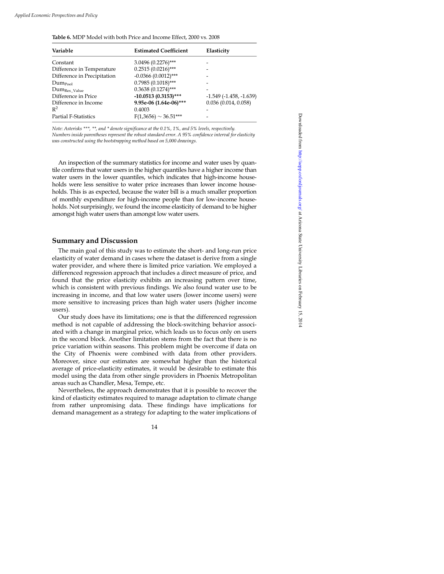Table 6. MDP Model with both Price and Income Effect, 2000 vs. 2008

| Variable                    | <b>Estimated Coefficient</b> | Elasticity              |
|-----------------------------|------------------------------|-------------------------|
| Constant                    | $3.0496(0.2276)$ ***         | -                       |
| Difference in Temperature   | $0.2515(0.0216)$ ***         |                         |
| Difference in Precipitation | $-0.0366(0.0012)$ ***        |                         |
| $Dum_{Pool}$                | $0.7985(0.1018)$ ***         |                         |
| $Dum_{Res\ Value}$          | $0.3638(0.1274)$ ***         |                         |
| Difference in Price         | $-10.0513(0.3153)$ ***       | $-1.549(-1.458,-1.639)$ |
| Difference in Income        | 9.95e-06 (1.64e-06)***       | 0.036(0.014, 0.058)     |
| $R^2$                       | 0.4003                       |                         |
| <b>Partial F-Statistics</b> | $F(1,3656) \sim 36.51***$    |                         |

Note: Asterisks \*\*\*, \*\*, and \* denote significance at the 0.1%, 1%, and 5% levels, respectively. Numbers inside parentheses represent the robust standard error. A 95% confidence interval for elasticity was constructed using the bootstrapping method based on 5,000 drawings.

An inspection of the summary statistics for income and water uses by quantile confirms that water users in the higher quantiles have a higher income than water users in the lower quantiles, which indicates that high-income households were less sensitive to water price increases than lower income households. This is as expected, because the water bill is a much smaller proportion of monthly expenditure for high-income people than for low-income households. Not surprisingly, we found the income elasticity of demand to be higher amongst high water users than amongst low water users.

#### Summary and Discussion

The main goal of this study was to estimate the short- and long-run price elasticity of water demand in cases where the dataset is derive from a single water provider, and where there is limited price variation. We employed a differenced regression approach that includes a direct measure of price, and found that the price elasticity exhibits an increasing pattern over time, which is consistent with previous findings. We also found water use to be increasing in income, and that low water users (lower income users) were more sensitive to increasing prices than high water users (higher income users).

Our study does have its limitations; one is that the differenced regression method is not capable of addressing the block-switching behavior associated with a change in marginal price, which leads us to focus only on users in the second block. Another limitation stems from the fact that there is no price variation within seasons. This problem might be overcome if data on the City of Phoenix were combined with data from other providers. Moreover, since our estimates are somewhat higher than the historical average of price-elasticity estimates, it would be desirable to estimate this model using the data from other single providers in Phoenix Metropolitan areas such as Chandler, Mesa, Tempe, etc.

Nevertheless, the approach demonstrates that it is possible to recover the kind of elasticity estimates required to manage adaptation to climate change from rather unpromising data. These findings have implications for demand management as a strategy for adapting to the water implications of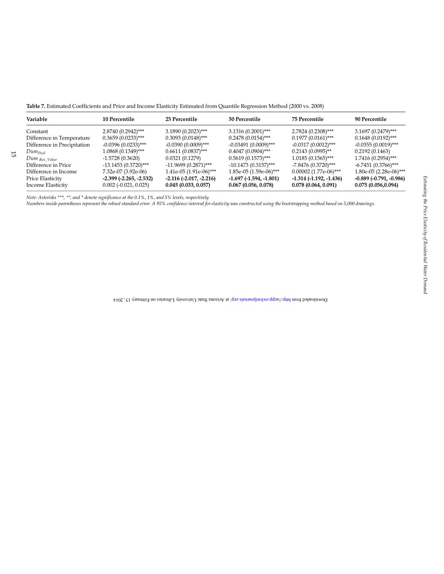| Table 7. Estimated Coefficients and Price and Income Elasticity Estimated from Quantile Regression Method (2000 vs. 2008) |  |  |
|---------------------------------------------------------------------------------------------------------------------------|--|--|
|                                                                                                                           |  |  |

| 10 Percentile               | 25 Percentile                  | 50 Percentile           | 75 Percentile           | 90 Percentile                                  |
|-----------------------------|--------------------------------|-------------------------|-------------------------|------------------------------------------------|
| $2.8740(0.2942)***$         | $3.1890(0.2023)***$            | $3.1316(0.2001)$ ***    | $2.7824(0.2308)***$     | $3.1697(0.2479)$ ***                           |
| $0.3659(0.0233)$ ***        | $0.3093(0.0148)$ ***           | $0.2478(0.0154)$ ***    | $0.1977(0.0161)$ ***    | $0.1648(0.0192)$ ***                           |
| $-0.0396(0.0233)$ ***       | $-0.0390(0.0009)$ ***          | $-0.03491(0.0009)$ ***  | $-0.0317(0.0012)$ ***   | $-0.0355(0.0019)$ ***                          |
| $1.0868(0.1349)$ ***        | $0.6611(0.0837)$ ***           | $0.4047(0.0904)$ ***    | $0.2143(0.0995)$ **     | 0.2192(0.1463)                                 |
| $-1.5728(0.3620)$           | 0.0321(0.1279)                 | $0.5619(0.1573)$ ***    | $1.0185(0.1565)$ ***    | $1.7416(0.2954)$ ***                           |
| $-13.1453(0.3720)$ ***      | $-11.9699(0.2871)$ ***         | $-10.1473(0.3157)$ ***  | $-7.8476(0.3720)$ ***   | $-6.7451(0.3766)$ ***                          |
| 7.32e-07 (3.92e-06)         | $1.41e-05(1.91e-06)$ ***       | $1.85e-05(1.59e-06)***$ | $0.00002$ (1.77e-06)*** | $1.80e-05(2.28e-06)***$                        |
| $-2.399$ $(-2.265, -2.532)$ | $-2.116$ $(-2.017, -2.216)$    | $-1.697(-1.594,-1.801)$ | $-1.314(-1.192,-1.436)$ | $-0.889(-0.791,-0.986)$<br>0.075(0.056, 0.094) |
|                             | $0.002$ ( $-0.021$ , $0.025$ ) | 0.045(0.033, 0.057)     | 0.067(0.056, 0.078)     | 0.078(0.064, 0.091)                            |

Note: Asterisks \*\*\*, \*\*, and \* denote significance at the 0.1%, 1%, and 5% levels, respectively.

ն<br>51

Numbers inside parentheses represent the robust standard error. A 95% confidence interval for elasticity was constructed using the bootstrapping method based on 5,000 drawings.

E stim

atin g th e P ric e Ela

 $1002$ ,  $21$  yraur before the  $\sqrt{3}$  and  $\sqrt{3}$  and  $\sqrt{3}$  and  $\sqrt{3}$  are  $\sqrt{3}$  and  $\sqrt{3}$  and  $\sqrt{3}$  and  $\sqrt{3}$  and  $\sqrt{3}$  and  $\sqrt{3}$  and  $\sqrt{3}$  and  $\sqrt{3}$  and  $\sqrt{3}$  and  $\sqrt{3}$  and  $\sqrt{3}$  and  $\sqrt{3}$  and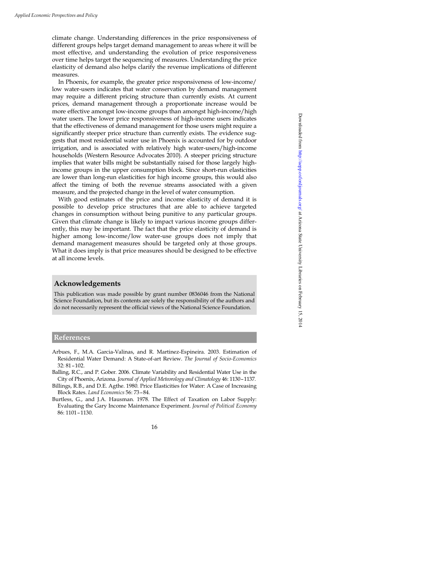climate change. Understanding differences in the price responsiveness of different groups helps target demand management to areas where it will be most effective, and understanding the evolution of price responsiveness over time helps target the sequencing of measures. Understanding the price elasticity of demand also helps clarify the revenue implications of different measures.

In Phoenix, for example, the greater price responsiveness of low-income/ low water-users indicates that water conservation by demand management may require a different pricing structure than currently exists. At current prices, demand management through a proportionate increase would be more effective amongst low-income groups than amongst high-income/high water users. The lower price responsiveness of high-income users indicates that the effectiveness of demand management for those users might require a significantly steeper price structure than currently exists. The evidence suggests that most residential water use in Phoenix is accounted for by outdoor irrigation, and is associated with relatively high water-users/high-income households (Western Resource Advocates 2010). A steeper pricing structure implies that water bills might be substantially raised for those largely highincome groups in the upper consumption block. Since short-run elasticities are lower than long-run elasticities for high income groups, this would also affect the timing of both the revenue streams associated with a given measure, and the projected change in the level of water consumption.

With good estimates of the price and income elasticity of demand it is possible to develop price structures that are able to achieve targeted changes in consumption without being punitive to any particular groups. Given that climate change is likely to impact various income groups differently, this may be important. The fact that the price elasticity of demand is higher among low-income/low water-use groups does not imply that demand management measures should be targeted only at those groups. What it does imply is that price measures should be designed to be effective at all income levels.

# Acknowledgements

This publication was made possible by grant number 0836046 from the National Science Foundation, but its contents are solely the responsibility of the authors and do not necessarily represent the official views of the National Science Foundation.

# References

- Arbues, F., M.A. Garcia-Valinas, and R. Martinez-Espineira. 2003. Estimation of Residential Water Demand: A State-of-art Review. The Journal of Socio-Economics  $32 \cdot 81 - 102$
- Balling, R.C., and P. Gober. 2006. Climate Variability and Residential Water Use in the City of Phoenix, Arizona. Journal of Applied Meteorology and Climatology 46: 1130–1137. Billings, R.B., and D.E. Agthe. 1980. Price Elasticities for Water: A Case of Increasing Block Rates. Land Economics 56: 73–84.
- Burtless, G., and J.A. Hausman. 1978. The Effect of Taxation on Labor Supply: Evaluating the Gary Income Maintenance Experiment. Journal of Political Economy 86: 1101–1130.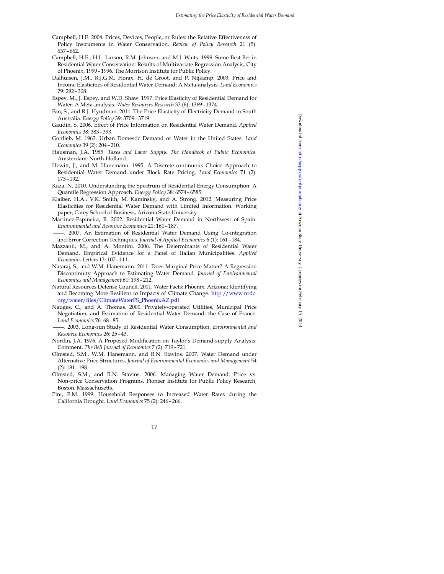- Campbell, H.E. 2004. Prices, Devices, People, or Rules: the Relative Effectiveness of Policy Instruments in Water Conservation. Review of Policy Research 21 (5): 637–662.
- Campbell, H.E., H.L. Larson, R.M. Johnson, and M.J. Waits. 1999. Some Best Bet in Residential Water Conservation: Results of Multivariate Regression Analysis, City of Phoenix, 1999–1996. The Morrison Institute for Public Policy.
- Dalhuisen, J.M., R.J.G.M. Florax, H. de Groot, and P. Nijkamp. 2003. Price and Income Elasticities of Residential Water Demand: A Meta-analysis. Land Economics 79: 292–308.
- Espey, M., J. Espey, and W.D. Shaw. 1997. Price Elasticity of Residential Demand for Water: A Meta-analysis. Water Resources Research 33 (6): 1369–1374.
- Fan, S., and R.J. Hyndman. 2011. The Price Elasticity of Electricity Demand in South Australia. Energy Policy 39: 3709–3719.
- Gaudin, S. 2006. Effect of Price Information on Residential Water Demand. Applied Economics 38: 383–393.
- Gottlieb, M. 1963. Urban Domestic Demand or Water in the United States. Land Economics 39 (2): 204–210.
- Hausman, J.A. 1985. Taxes and Labor Supply. The Handbook of Public Economics. Amsterdam: North-Holland.
- Hewitt, J., and M. Hanemann. 1995. A Discrete-continuous Choice Approach to Residential Water Demand under Block Rate Pricing. Land Economics 71 (2): 173–192.
- Kaza, N. 2010. Understanding the Spectrum of Residential Energy Consumption: A Quantile Regression Approach. Energy Policy 38: 6574–6585.
- Klaiber, H.A., V.K. Smith, M. Kaminsky, and A. Strong. 2012. Measuring Price Elasticities for Residential Water Demand with Limited Information. Working paper, Carey School of Business, Arizona State University.
- Martinez-Espineira, R. 2002. Residential Water Demand in Northwest of Spain. Environmental and Resource Economics 21: 161–187.
- 2007. An Estimation of Residential Water Demand Using Co-integration and Error Correction Techniques. Journal of Applied Economics 6 (1): 161-184.
- Mazzanti, M., and A. Montini. 2006. The Determinants of Residential Water Demand. Empirical Evidence for a Panel of Italian Municipalities. Applied Economics Letters 13: 107–111.
- Nataraj, S., and W.M. Hanemann. 2011. Does Marginal Price Matter? A Regression Discontinuity Approach to Estimating Water Demand. Journal of Environmental Economics and Management 61: 198–212.
- Natural Resources Defense Council. 2011. Water Facts: Phoenix, Arizona: Identifying and Becoming More Resilient to Impacts of Climate Change. http://www.nrdc. org/water/files/ClimateWaterFS\_PhoenixAZ.pdf
- Nauges, C., and A. Thomas. 2000. Privately-operated Utilities, Municipal Price Negotiation, and Estimation of Residential Water Demand: the Case of France. Land Economics 76: 68–85.
- -. 2003. Long-run Study of Residential Water Consumption. Environmental and Resource Economics 26: 25–43.
- Nordin, J.A. 1976. A Proposed Modification on Taylor's Demand-supply Analysis: Comment. The Bell Journal of Economics 7 (2): 719–721.
- Olmsted, S.M., W.M. Hanemann, and R.N. Stavins. 2007. Water Demand under Alternative Price Structures. Journal of Environmental Economics and Management 54 (2): 181–198.
- Olmsted, S.M., and R.N. Stavins. 2006. Managing Water Demand: Price vs. Non-price Conservation Programs. Pioneer Institute for Public Policy Research, Boston, Massachusetts.
- Pint, E.M. 1999. Household Responses to Increased Water Rates during the California Drought. Land Economics 75 (2): 246–266.